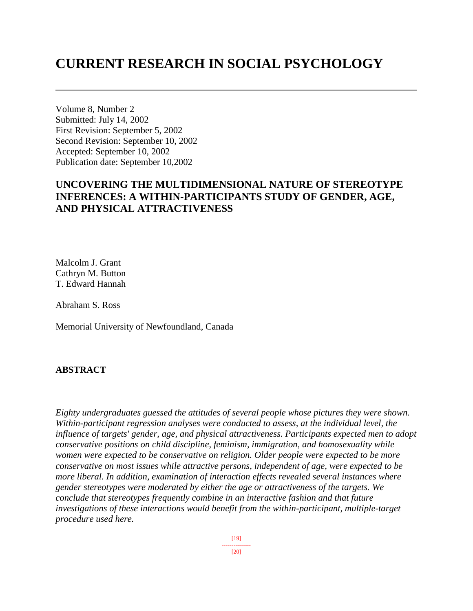# **CURRENT RESEARCH IN SOCIAL PSYCHOLOGY**

Volume 8, Number 2 Submitted: July 14, 2002 First Revision: September 5, 2002 Second Revision: September 10, 2002 Accepted: September 10, 2002 Publication date: September 10,2002

## **UNCOVERING THE MULTIDIMENSIONAL NATURE OF STEREOTYPE INFERENCES: A WITHIN-PARTICIPANTS STUDY OF GENDER, AGE, AND PHYSICAL ATTRACTIVENESS**

Malcolm J. Grant Cathryn M. Button T. Edward Hannah

Abraham S. Ross

Memorial University of Newfoundland, Canada

## **ABSTRACT**

*Eighty undergraduates guessed the attitudes of several people whose pictures they were shown. Within-participant regression analyses were conducted to assess, at the individual level, the influence of targets' gender, age, and physical attractiveness. Participants expected men to adopt conservative positions on child discipline, feminism, immigration, and homosexuality while women were expected to be conservative on religion. Older people were expected to be more conservative on most issues while attractive persons, independent of age, were expected to be more liberal. In addition, examination of interaction effects revealed several instances where gender stereotypes were moderated by either the age or attractiveness of the targets. We conclude that stereotypes frequently combine in an interactive fashion and that future investigations of these interactions would benefit from the within-participant, multiple-target procedure used here.*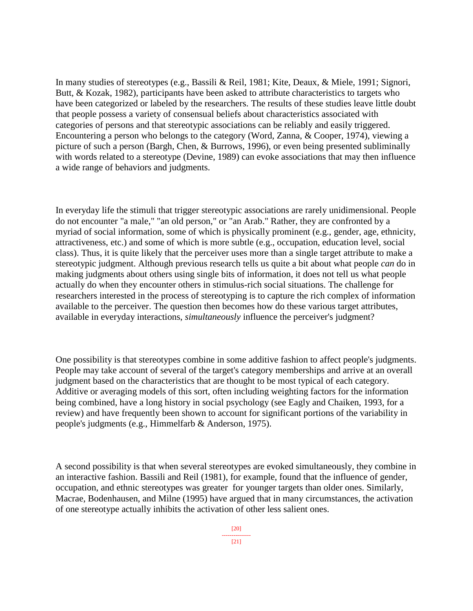In many studies of stereotypes (e.g., Bassili & Reil, 1981; Kite, Deaux, & Miele, 1991; Signori, Butt, & Kozak, 1982), participants have been asked to attribute characteristics to targets who have been categorized or labeled by the researchers. The results of these studies leave little doubt that people possess a variety of consensual beliefs about characteristics associated with categories of persons and that stereotypic associations can be reliably and easily triggered. Encountering a person who belongs to the category (Word, Zanna, & Cooper, 1974), viewing a picture of such a person (Bargh, Chen, & Burrows, 1996), or even being presented subliminally with words related to a stereotype (Devine, 1989) can evoke associations that may then influence a wide range of behaviors and judgments.

In everyday life the stimuli that trigger stereotypic associations are rarely unidimensional. People do not encounter "a male," "an old person," or "an Arab." Rather, they are confronted by a myriad of social information, some of which is physically prominent (e.g., gender, age, ethnicity, attractiveness, etc.) and some of which is more subtle (e.g., occupation, education level, social class). Thus, it is quite likely that the perceiver uses more than a single target attribute to make a stereotypic judgment. Although previous research tells us quite a bit about what people *can* do in making judgments about others using single bits of information, it does not tell us what people actually do when they encounter others in stimulus-rich social situations. The challenge for researchers interested in the process of stereotyping is to capture the rich complex of information available to the perceiver. The question then becomes how do these various target attributes, available in everyday interactions, *simultaneously* influence the perceiver's judgment?

One possibility is that stereotypes combine in some additive fashion to affect people's judgments. People may take account of several of the target's category memberships and arrive at an overall judgment based on the characteristics that are thought to be most typical of each category. Additive or averaging models of this sort, often including weighting factors for the information being combined, have a long history in social psychology (see Eagly and Chaiken, 1993, for a review) and have frequently been shown to account for significant portions of the variability in people's judgments (e.g., Himmelfarb & Anderson, 1975).

A second possibility is that when several stereotypes are evoked simultaneously, they combine in an interactive fashion. Bassili and Reil (1981), for example, found that the influence of gender, occupation, and ethnic stereotypes was greater for younger targets than older ones. Similarly, Macrae, Bodenhausen, and Milne (1995) have argued that in many circumstances, the activation of one stereotype actually inhibits the activation of other less salient ones.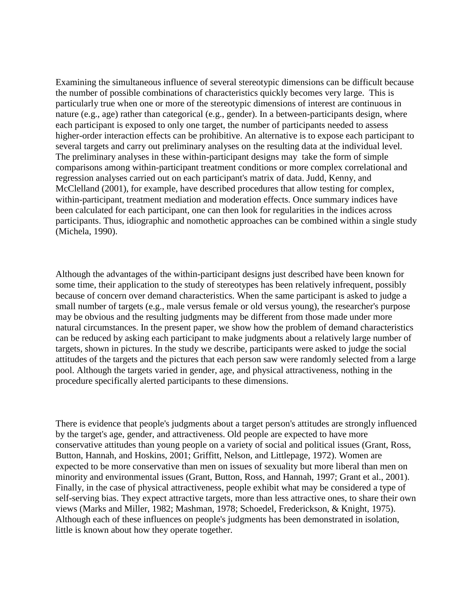Examining the simultaneous influence of several stereotypic dimensions can be difficult because the number of possible combinations of characteristics quickly becomes very large. This is particularly true when one or more of the stereotypic dimensions of interest are continuous in nature (e.g., age) rather than categorical (e.g., gender). In a between-participants design, where each participant is exposed to only one target, the number of participants needed to assess higher-order interaction effects can be prohibitive. An alternative is to expose each participant to several targets and carry out preliminary analyses on the resulting data at the individual level. The preliminary analyses in these within-participant designs may take the form of simple comparisons among within-participant treatment conditions or more complex correlational and regression analyses carried out on each participant's matrix of data. Judd, Kenny, and McClelland (2001), for example, have described procedures that allow testing for complex, within-participant, treatment mediation and moderation effects. Once summary indices have been calculated for each participant, one can then look for regularities in the indices across participants. Thus, idiographic and nomothetic approaches can be combined within a single study (Michela, 1990).

Although the advantages of the within-participant designs just described have been known for some time, their application to the study of stereotypes has been relatively infrequent, possibly because of concern over demand characteristics. When the same participant is asked to judge a small number of targets (e.g., male versus female or old versus young), the researcher's purpose may be obvious and the resulting judgments may be different from those made under more natural circumstances. In the present paper, we show how the problem of demand characteristics can be reduced by asking each participant to make judgments about a relatively large number of targets, shown in pictures. In the study we describe, participants were asked to judge the social attitudes of the targets and the pictures that each person saw were randomly selected from a large pool. Although the targets varied in gender, age, and physical attractiveness, nothing in the procedure specifically alerted participants to these dimensions.

There is evidence that people's judgments about a target person's attitudes are strongly influenced by the target's age, gender, and attractiveness. Old people are expected to have more conservative attitudes than young people on a variety of social and political issues (Grant, Ross, Button, Hannah, and Hoskins, 2001; Griffitt, Nelson, and Littlepage, 1972). Women are expected to be more conservative than men on issues of sexuality but more liberal than men on minority and environmental issues (Grant, Button, Ross, and Hannah, 1997; Grant et al., 2001). Finally, in the case of physical attractiveness, people exhibit what may be considered a type of self-serving bias. They expect attractive targets, more than less attractive ones, to share their own views (Marks and Miller, 1982; Mashman, 1978; Schoedel, Frederickson, & Knight, 1975). Although each of these influences on people's judgments has been demonstrated in isolation, little is known about how they operate together.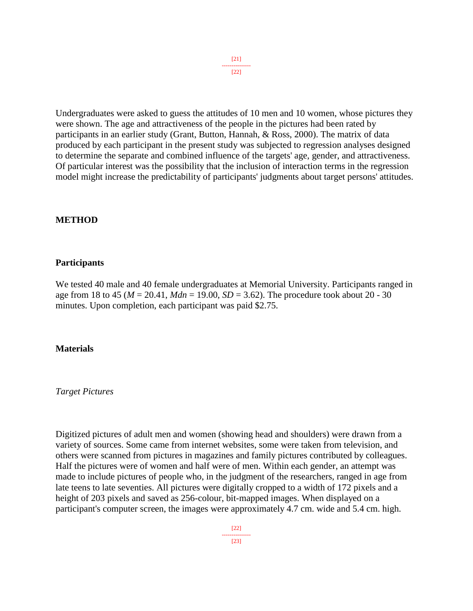[21] ---------------  $[22]$ 

Undergraduates were asked to guess the attitudes of 10 men and 10 women, whose pictures they were shown. The age and attractiveness of the people in the pictures had been rated by participants in an earlier study (Grant, Button, Hannah, & Ross, 2000). The matrix of data produced by each participant in the present study was subjected to regression analyses designed to determine the separate and combined influence of the targets' age, gender, and attractiveness. Of particular interest was the possibility that the inclusion of interaction terms in the regression model might increase the predictability of participants' judgments about target persons' attitudes.

#### **METHOD**

#### **Participants**

We tested 40 male and 40 female undergraduates at Memorial University. Participants ranged in age from 18 to 45 ( $M = 20.41$ ,  $Mdn = 19.00$ ,  $SD = 3.62$ ). The procedure took about 20 - 30 minutes. Upon completion, each participant was paid \$2.75.

#### **Materials**

#### *Target Pictures*

Digitized pictures of adult men and women (showing head and shoulders) were drawn from a variety of sources. Some came from internet websites, some were taken from television, and others were scanned from pictures in magazines and family pictures contributed by colleagues. Half the pictures were of women and half were of men. Within each gender, an attempt was made to include pictures of people who, in the judgment of the researchers, ranged in age from late teens to late seventies. All pictures were digitally cropped to a width of 172 pixels and a height of 203 pixels and saved as 256-colour, bit-mapped images. When displayed on a participant's computer screen, the images were approximately 4.7 cm. wide and 5.4 cm. high.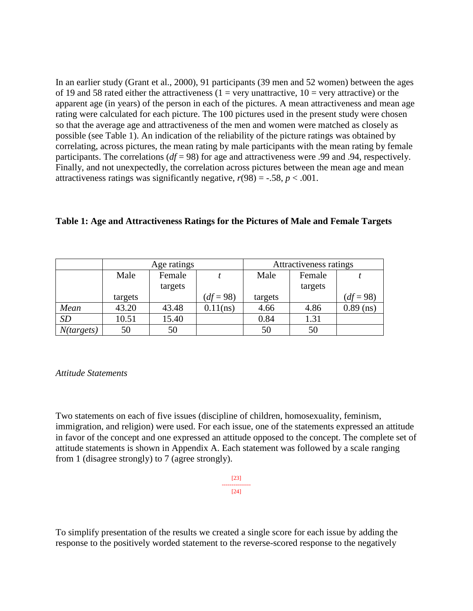In an earlier study (Grant et al., 2000), 91 participants (39 men and 52 women) between the ages of 19 and 58 rated either the attractiveness (1 = very unattractive,  $10 =$  very attractive) or the apparent age (in years) of the person in each of the pictures. A mean attractiveness and mean age rating were calculated for each picture. The 100 pictures used in the present study were chosen so that the average age and attractiveness of the men and women were matched as closely as possible (see Table 1). An indication of the reliability of the picture ratings was obtained by correlating, across pictures, the mean rating by male participants with the mean rating by female participants. The correlations (*df* = 98) for age and attractiveness were .99 and .94, respectively. Finally, and not unexpectedly, the correlation across pictures between the mean age and mean attractiveness ratings was significantly negative,  $r(98) = -.58$ ,  $p < .001$ .

#### **Table 1: Age and Attractiveness Ratings for the Pictures of Male and Female Targets**

|            |                | Age ratings |             | Attractiveness ratings |         |             |  |
|------------|----------------|-------------|-------------|------------------------|---------|-------------|--|
|            | Male<br>Female |             |             | Male                   | Female  |             |  |
|            |                | targets     |             |                        | targets |             |  |
|            | targets        |             | $(df = 98)$ | targets                |         | $(df = 98)$ |  |
| Mean       | 43.20          | 43.48       | $0.11$ (ns) | 4.66                   | 4.86    | $0.89$ (ns) |  |
| <b>SD</b>  | 10.51          | 15.40       |             | 0.84                   | 1.31    |             |  |
| N(targest) | 50             | 50          |             | 50                     | 50      |             |  |

*Attitude Statements*

Two statements on each of five issues (discipline of children, homosexuality, feminism, immigration, and religion) were used. For each issue, one of the statements expressed an attitude in favor of the concept and one expressed an attitude opposed to the concept. The complete set of attitude statements is shown in Appendix A. Each statement was followed by a scale ranging from 1 (disagree strongly) to 7 (agree strongly).

> [23] --------------- [24]

To simplify presentation of the results we created a single score for each issue by adding the response to the positively worded statement to the reverse-scored response to the negatively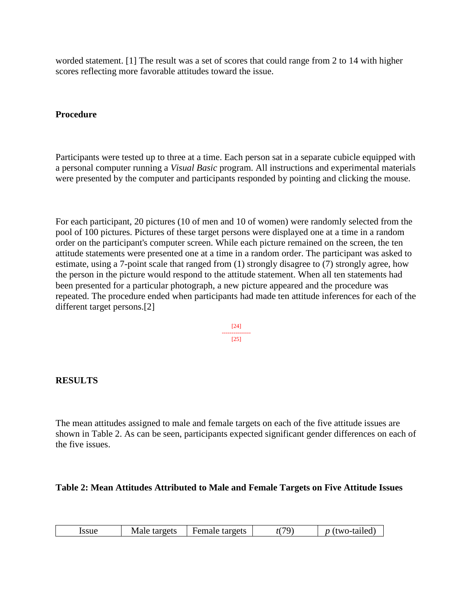worded statement. [1] The result was a set of scores that could range from 2 to 14 with higher scores reflecting more favorable attitudes toward the issue.

## **Procedure**

Participants were tested up to three at a time. Each person sat in a separate cubicle equipped with a personal computer running a *Visual Basic* program. All instructions and experimental materials were presented by the computer and participants responded by pointing and clicking the mouse.

For each participant, 20 pictures (10 of men and 10 of women) were randomly selected from the pool of 100 pictures. Pictures of these target persons were displayed one at a time in a random order on the participant's computer screen. While each picture remained on the screen, the ten attitude statements were presented one at a time in a random order. The participant was asked to estimate, using a 7-point scale that ranged from (1) strongly disagree to (7) strongly agree, how the person in the picture would respond to the attitude statement. When all ten statements had been presented for a particular photograph, a new picture appeared and the procedure was repeated. The procedure ended when participants had made ten attitude inferences for each of the different target persons.[2]

> [24] --------------- [25]

## **RESULTS**

The mean attitudes assigned to male and female targets on each of the five attitude issues are shown in Table 2. As can be seen, participants expected significant gender differences on each of the five issues.

#### **Table 2: Mean Attitudes Attributed to Male and Female Targets on Five Attitude Issues**

| issue | Male<br>targets | Female targets | 70 | 'two-tailed)<br>$\mathbf{r}$ |
|-------|-----------------|----------------|----|------------------------------|
|-------|-----------------|----------------|----|------------------------------|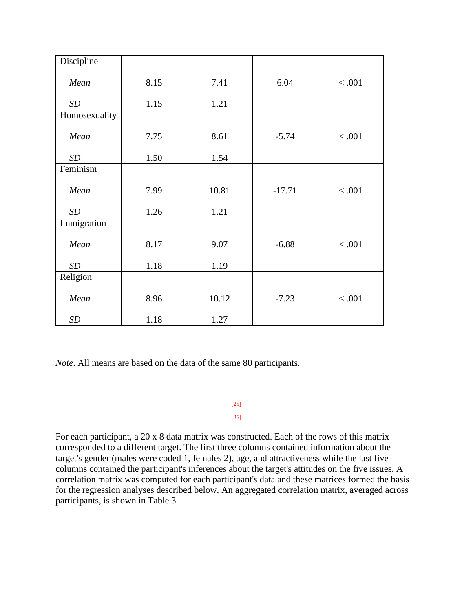| Discipline    |      |       |          |         |
|---------------|------|-------|----------|---------|
| Mean          | 8.15 | 7.41  | 6.04     | < .001  |
| SD            | 1.15 | 1.21  |          |         |
| Homosexuality |      |       |          |         |
| Mean          | 7.75 | 8.61  | $-5.74$  | < .001  |
| SD            | 1.50 | 1.54  |          |         |
| Feminism      |      |       |          |         |
| Mean          | 7.99 | 10.81 | $-17.71$ | $<.001$ |
| SD            | 1.26 | 1.21  |          |         |
| Immigration   |      |       |          |         |
| Mean          | 8.17 | 9.07  | $-6.88$  | < .001  |
| SD            | 1.18 | 1.19  |          |         |
| Religion      |      |       |          |         |
| Mean          | 8.96 | 10.12 | $-7.23$  | < .001  |
| <b>SD</b>     | 1.18 | 1.27  |          |         |

*Note*. All means are based on the data of the same 80 participants.

[25] --------------- [26]

For each participant, a 20 x 8 data matrix was constructed. Each of the rows of this matrix corresponded to a different target. The first three columns contained information about the target's gender (males were coded 1, females 2), age, and attractiveness while the last five columns contained the participant's inferences about the target's attitudes on the five issues. A correlation matrix was computed for each participant's data and these matrices formed the basis for the regression analyses described below. An aggregated correlation matrix, averaged across participants, is shown in Table 3.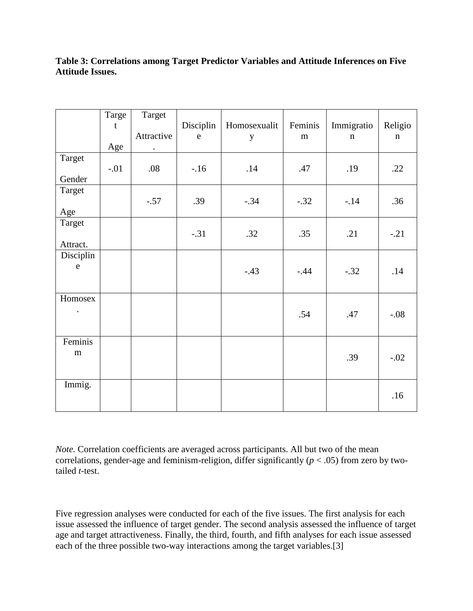## **Table 3: Correlations among Target Predictor Variables and Attitude Inferences on Five Attitude Issues.**

|                    | Targe<br>$\mathbf t$<br>Age | Target<br>Attractive<br>$\bullet$ | Disciplin<br>$\rm e$ | Homosexualit<br>$\mathbf y$ | Feminis<br>${\bf m}$ | Immigratio<br>$\mathbf n$ | Religio<br>$\mathbf n$ |
|--------------------|-----------------------------|-----------------------------------|----------------------|-----------------------------|----------------------|---------------------------|------------------------|
| Target<br>Gender   | $-.01$                      | .08                               | $-.16$               | .14                         | .47                  | .19                       | .22                    |
| Target<br>Age      |                             | $-.57$                            | .39                  | $-.34$                      | $-.32$               | $-14$                     | .36                    |
| Target<br>Attract. |                             |                                   | $-.31$               | .32                         | .35                  | .21                       | $-.21$                 |
| Disciplin<br>e     |                             |                                   |                      | $-.43$                      | $-.44$               | $-.32$                    | .14                    |
| Homosex            |                             |                                   |                      |                             | .54                  | .47                       | $-.08$                 |
| Feminis<br>m       |                             |                                   |                      |                             |                      | .39                       | $-.02$                 |
| Immig.             |                             |                                   |                      |                             |                      |                           | .16                    |

*Note.* Correlation coefficients are averaged across participants. All but two of the mean correlations, gender-age and feminism-religion, differ significantly ( $p < .05$ ) from zero by twotailed *t*-test.

Five regression analyses were conducted for each of the five issues. The first analysis for each issue assessed the influence of target gender. The second analysis assessed the influence of target age and target attractiveness. Finally, the third, fourth, and fifth analyses for each issue assessed each of the three possible two-way interactions among the target variables.[3]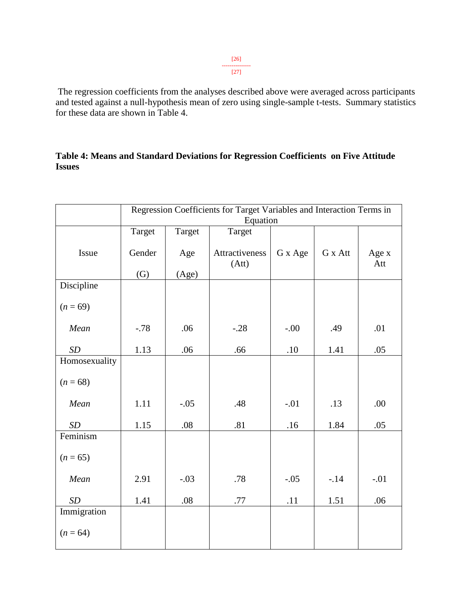[26] --------------- [27]

The regression coefficients from the analyses described above were averaged across participants and tested against a null-hypothesis mean of zero using single-sample t-tests. Summary statistics for these data are shown in Table 4.

## **Table 4: Means and Standard Deviations for Regression Coefficients on Five Attitude Issues**

|               | Regression Coefficients for Target Variables and Interaction Terms in |        |                         |         |         |              |  |
|---------------|-----------------------------------------------------------------------|--------|-------------------------|---------|---------|--------------|--|
|               | Equation                                                              |        |                         |         |         |              |  |
|               | Target                                                                | Target | Target                  |         |         |              |  |
| Issue         | Gender                                                                | Age    | Attractiveness<br>(Att) | G x Age | G x Att | Age x<br>Att |  |
|               | $\left( G\right)$                                                     | (Age)  |                         |         |         |              |  |
| Discipline    |                                                                       |        |                         |         |         |              |  |
| $(n = 69)$    |                                                                       |        |                         |         |         |              |  |
| Mean          | $-.78$                                                                | .06    | $-.28$                  | $-.00$  | .49     | .01          |  |
| SD            | 1.13                                                                  | .06    | .66                     | .10     | 1.41    | .05          |  |
| Homosexuality |                                                                       |        |                         |         |         |              |  |
| $(n = 68)$    |                                                                       |        |                         |         |         |              |  |
| Mean          | 1.11                                                                  | $-.05$ | .48                     | $-.01$  | .13     | .00          |  |
| SD            | 1.15                                                                  | .08    | .81                     | .16     | 1.84    | .05          |  |
| Feminism      |                                                                       |        |                         |         |         |              |  |
| $(n = 65)$    |                                                                       |        |                         |         |         |              |  |
| Mean          | 2.91                                                                  | $-.03$ | .78                     | $-.05$  | $-.14$  | $-.01$       |  |
| SD            | 1.41                                                                  | .08    | .77                     | .11     | 1.51    | .06          |  |
| Immigration   |                                                                       |        |                         |         |         |              |  |
| $(n = 64)$    |                                                                       |        |                         |         |         |              |  |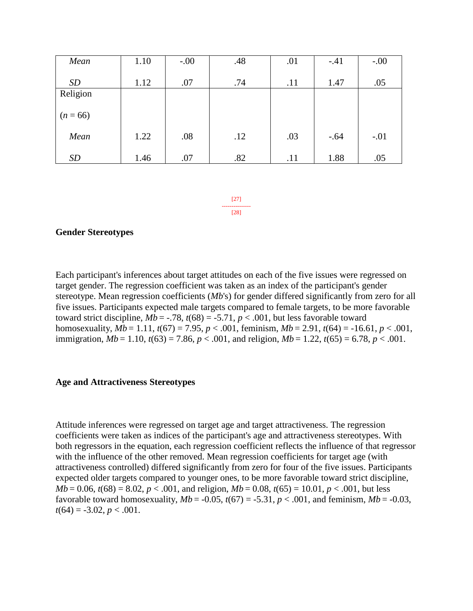| Mean       | 1.10 | $-.00$ | .48 | .01 | $-.41$ | $-.00$ |
|------------|------|--------|-----|-----|--------|--------|
|            |      |        |     |     |        |        |
| <b>SD</b>  | 1.12 | .07    | .74 | .11 | 1.47   | .05    |
| Religion   |      |        |     |     |        |        |
| $(n = 66)$ |      |        |     |     |        |        |
| Mean       | 1.22 | .08    | .12 | .03 | $-.64$ | $-.01$ |
| <b>SD</b>  | 1.46 | .07    | .82 | .11 | 1.88   | .05    |

[27] --------------- [28]

#### **Gender Stereotypes**

Each participant's inferences about target attitudes on each of the five issues were regressed on target gender. The regression coefficient was taken as an index of the participant's gender stereotype. Mean regression coefficients (*Mb*'s) for gender differed significantly from zero for all five issues. Participants expected male targets compared to female targets, to be more favorable toward strict discipline,  $Mb = -.78$ ,  $t(68) = -5.71$ ,  $p < .001$ , but less favorable toward homosexuality,  $Mb = 1.11$ ,  $t(67) = 7.95$ ,  $p < .001$ , feminism,  $Mb = 2.91$ ,  $t(64) = -16.61$ ,  $p < .001$ , immigration, *Mb* = 1.10, *t*(63) = 7.86, *p* < .001, and religion, *Mb* = 1.22, *t*(65) = 6.78, *p* < .001.

#### **Age and Attractiveness Stereotypes**

Attitude inferences were regressed on target age and target attractiveness. The regression coefficients were taken as indices of the participant's age and attractiveness stereotypes. With both regressors in the equation, each regression coefficient reflects the influence of that regressor with the influence of the other removed. Mean regression coefficients for target age (with attractiveness controlled) differed significantly from zero for four of the five issues. Participants expected older targets compared to younger ones, to be more favorable toward strict discipline, *Mb* = 0.06,  $t(68) = 8.02$ ,  $p < .001$ , and religion,  $Mb = 0.08$ ,  $t(65) = 10.01$ ,  $p < .001$ , but less favorable toward homosexuality,  $Mb = -0.05$ ,  $t(67) = -5.31$ ,  $p < .001$ , and feminism,  $Mb = -0.03$ ,  $t(64) = -3.02, p < .001.$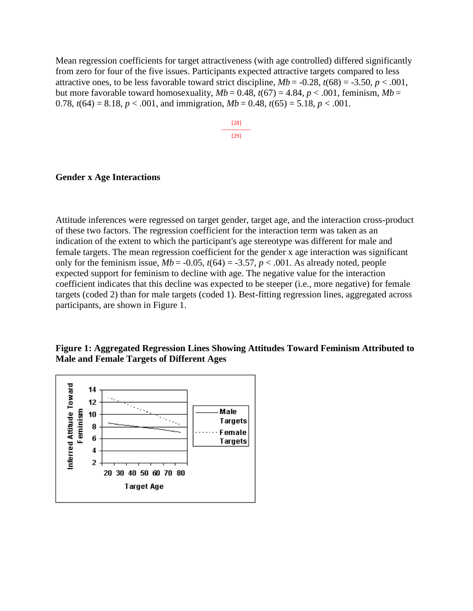Mean regression coefficients for target attractiveness (with age controlled) differed significantly from zero for four of the five issues. Participants expected attractive targets compared to less attractive ones, to be less favorable toward strict discipline,  $Mb = -0.28$ ,  $t(68) = -3.50$ ,  $p < .001$ , but more favorable toward homosexuality,  $Mb = 0.48$ ,  $t(67) = 4.84$ ,  $p < .001$ , feminism,  $Mb =$ 0.78,  $t(64) = 8.18$ ,  $p < .001$ , and immigration,  $Mb = 0.48$ ,  $t(65) = 5.18$ ,  $p < .001$ .

> [28] --------------- [29]

#### **Gender x Age Interactions**

Attitude inferences were regressed on target gender, target age, and the interaction cross-product of these two factors. The regression coefficient for the interaction term was taken as an indication of the extent to which the participant's age stereotype was different for male and female targets. The mean regression coefficient for the gender x age interaction was significant only for the feminism issue,  $Mb = -0.05$ ,  $t(64) = -3.57$ ,  $p < .001$ . As already noted, people expected support for feminism to decline with age. The negative value for the interaction coefficient indicates that this decline was expected to be steeper (i.e., more negative) for female targets (coded 2) than for male targets (coded 1). Best-fitting regression lines, aggregated across participants, are shown in Figure 1.

## **Figure 1: Aggregated Regression Lines Showing Attitudes Toward Feminism Attributed to Male and Female Targets of Different Ages**

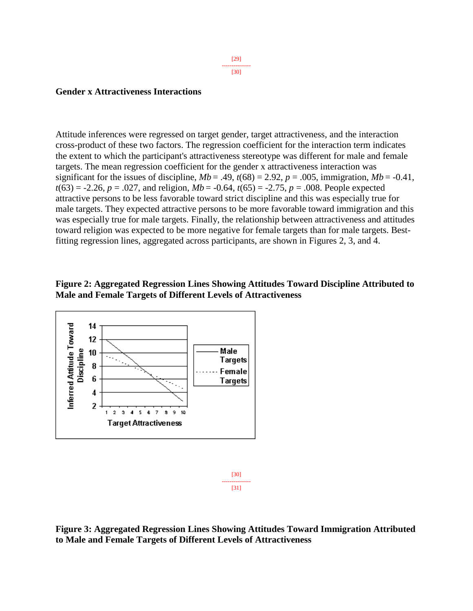#### **Gender x Attractiveness Interactions**

Attitude inferences were regressed on target gender, target attractiveness, and the interaction cross-product of these two factors. The regression coefficient for the interaction term indicates the extent to which the participant's attractiveness stereotype was different for male and female targets. The mean regression coefficient for the gender x attractiveness interaction was significant for the issues of discipline,  $Mb = .49$ ,  $t(68) = 2.92$ ,  $p = .005$ , immigration,  $Mb = .0.41$ ,  $t(63) = -2.26$ ,  $p = .027$ , and religion,  $Mb = -0.64$ ,  $t(65) = -2.75$ ,  $p = .008$ . People expected attractive persons to be less favorable toward strict discipline and this was especially true for male targets. They expected attractive persons to be more favorable toward immigration and this was especially true for male targets. Finally, the relationship between attractiveness and attitudes toward religion was expected to be more negative for female targets than for male targets. Bestfitting regression lines, aggregated across participants, are shown in Figures 2, 3, and 4.

### **Figure 2: Aggregated Regression Lines Showing Attitudes Toward Discipline Attributed to Male and Female Targets of Different Levels of Attractiveness**





**Figure 3: Aggregated Regression Lines Showing Attitudes Toward Immigration Attributed to Male and Female Targets of Different Levels of Attractiveness**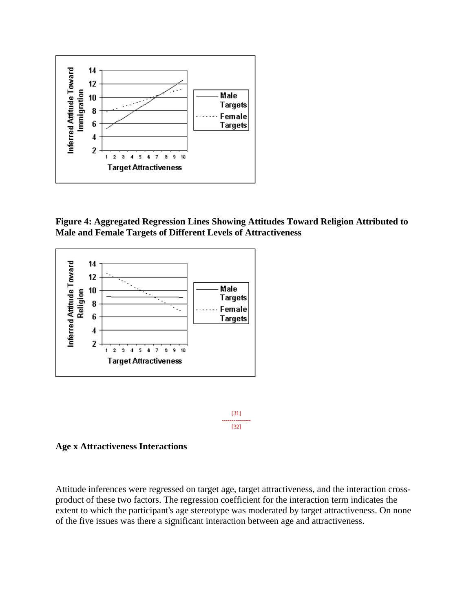







**Age x Attractiveness Interactions**

Attitude inferences were regressed on target age, target attractiveness, and the interaction crossproduct of these two factors. The regression coefficient for the interaction term indicates the extent to which the participant's age stereotype was moderated by target attractiveness. On none of the five issues was there a significant interaction between age and attractiveness.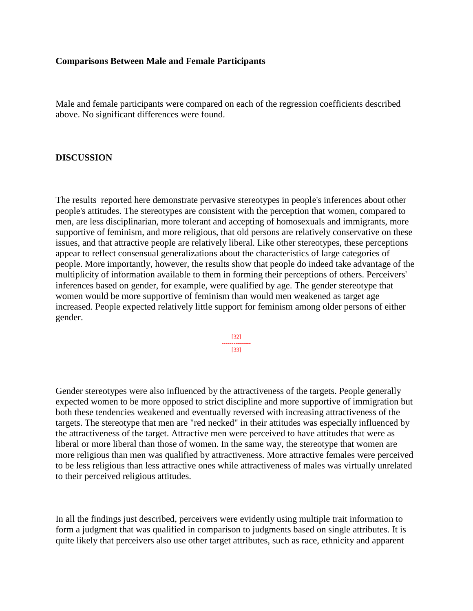#### **Comparisons Between Male and Female Participants**

Male and female participants were compared on each of the regression coefficients described above. No significant differences were found.

#### **DISCUSSION**

The results reported here demonstrate pervasive stereotypes in people's inferences about other people's attitudes. The stereotypes are consistent with the perception that women, compared to men, are less disciplinarian, more tolerant and accepting of homosexuals and immigrants, more supportive of feminism, and more religious, that old persons are relatively conservative on these issues, and that attractive people are relatively liberal. Like other stereotypes, these perceptions appear to reflect consensual generalizations about the characteristics of large categories of people. More importantly, however, the results show that people do indeed take advantage of the multiplicity of information available to them in forming their perceptions of others. Perceivers' inferences based on gender, for example, were qualified by age. The gender stereotype that women would be more supportive of feminism than would men weakened as target age increased. People expected relatively little support for feminism among older persons of either gender.

> [32] --------------- [33]

Gender stereotypes were also influenced by the attractiveness of the targets. People generally expected women to be more opposed to strict discipline and more supportive of immigration but both these tendencies weakened and eventually reversed with increasing attractiveness of the targets. The stereotype that men are "red necked" in their attitudes was especially influenced by the attractiveness of the target. Attractive men were perceived to have attitudes that were as liberal or more liberal than those of women. In the same way, the stereotype that women are more religious than men was qualified by attractiveness. More attractive females were perceived to be less religious than less attractive ones while attractiveness of males was virtually unrelated to their perceived religious attitudes.

In all the findings just described, perceivers were evidently using multiple trait information to form a judgment that was qualified in comparison to judgments based on single attributes. It is quite likely that perceivers also use other target attributes, such as race, ethnicity and apparent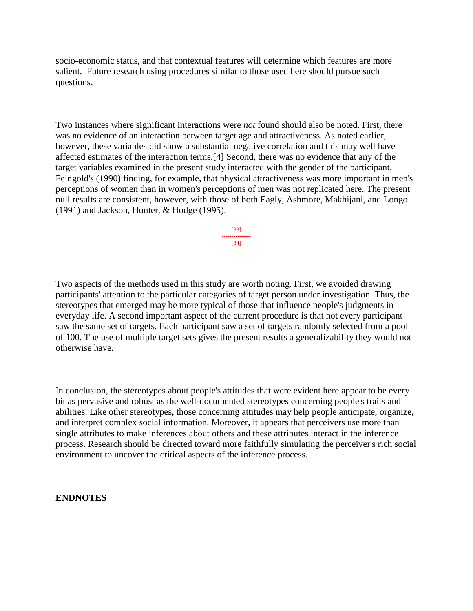socio-economic status, and that contextual features will determine which features are more salient. Future research using procedures similar to those used here should pursue such questions.

Two instances where significant interactions were *not* found should also be noted. First, there was no evidence of an interaction between target age and attractiveness. As noted earlier, however, these variables did show a substantial negative correlation and this may well have affected estimates of the interaction terms.[4] Second, there was no evidence that any of the target variables examined in the present study interacted with the gender of the participant. Feingold's (1990) finding, for example, that physical attractiveness was more important in men's perceptions of women than in women's perceptions of men was not replicated here. The present null results are consistent, however, with those of both Eagly, Ashmore, Makhijani, and Longo (1991) and Jackson, Hunter, & Hodge (1995).

> [33] --------------- [34]

Two aspects of the methods used in this study are worth noting. First, we avoided drawing participants' attention to the particular categories of target person under investigation. Thus, the stereotypes that emerged may be more typical of those that influence people's judgments in everyday life. A second important aspect of the current procedure is that not every participant saw the same set of targets. Each participant saw a set of targets randomly selected from a pool of 100. The use of multiple target sets gives the present results a generalizability they would not otherwise have.

In conclusion, the stereotypes about people's attitudes that were evident here appear to be every bit as pervasive and robust as the well-documented stereotypes concerning people's traits and abilities. Like other stereotypes, those concerning attitudes may help people anticipate, organize, and interpret complex social information. Moreover, it appears that perceivers use more than single attributes to make inferences about others and these attributes interact in the inference process. Research should be directed toward more faithfully simulating the perceiver's rich social environment to uncover the critical aspects of the inference process.

#### **ENDNOTES**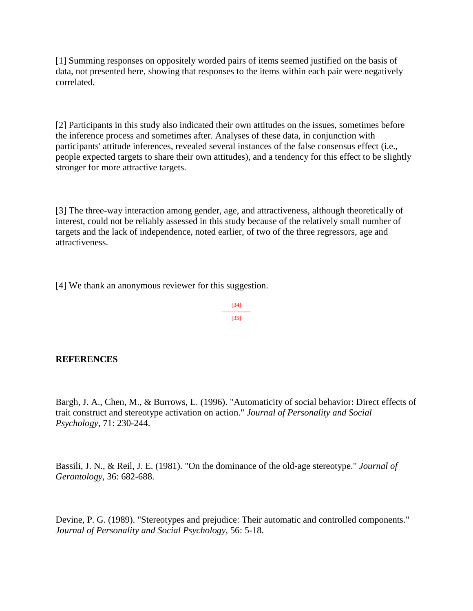[1] Summing responses on oppositely worded pairs of items seemed justified on the basis of data, not presented here, showing that responses to the items within each pair were negatively correlated.

[2] Participants in this study also indicated their own attitudes on the issues, sometimes before the inference process and sometimes after. Analyses of these data, in conjunction with participants' attitude inferences, revealed several instances of the false consensus effect (i.e., people expected targets to share their own attitudes), and a tendency for this effect to be slightly stronger for more attractive targets.

[3] The three-way interaction among gender, age, and attractiveness, although theoretically of interest, could not be reliably assessed in this study because of the relatively small number of targets and the lack of independence, noted earlier, of two of the three regressors, age and attractiveness.

[4] We thank an anonymous reviewer for this suggestion.

[34] --------------- [35]

## **REFERENCES**

Bargh, J. A., Chen, M., & Burrows, L. (1996). "Automaticity of social behavior: Direct effects of trait construct and stereotype activation on action." *Journal of Personality and Social Psychology,* 71: 230-244.

Bassili, J. N., & Reil, J. E. (1981). "On the dominance of the old-age stereotype." *Journal of Gerontology,* 36: 682-688.

Devine, P. G. (1989). "Stereotypes and prejudice: Their automatic and controlled components." *Journal of Personality and Social Psychology,* 56: 5-18.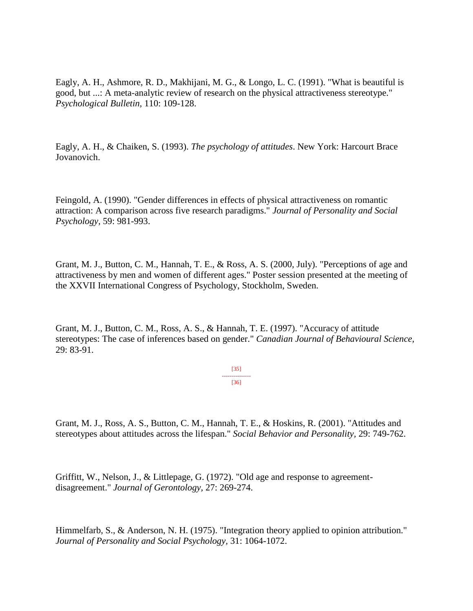Eagly, A. H., Ashmore, R. D., Makhijani, M. G., & Longo, L. C. (1991). "What is beautiful is good, but ...: A meta-analytic review of research on the physical attractiveness stereotype." *Psychological Bulletin,* 110: 109-128.

Eagly, A. H., & Chaiken, S. (1993). *The psychology of attitudes*. New York: Harcourt Brace Jovanovich.

Feingold, A. (1990). "Gender differences in effects of physical attractiveness on romantic attraction: A comparison across five research paradigms." *Journal of Personality and Social Psychology,* 59: 981-993.

Grant, M. J., Button, C. M., Hannah, T. E., & Ross, A. S. (2000, July). "Perceptions of age and attractiveness by men and women of different ages." Poster session presented at the meeting of the XXVII International Congress of Psychology, Stockholm, Sweden.

Grant, M. J., Button, C. M., Ross, A. S., & Hannah, T. E. (1997). "Accuracy of attitude stereotypes: The case of inferences based on gender." *Canadian Journal of Behavioural Science,*  29: 83-91.

> [35] --------------- [36]

Grant, M. J., Ross, A. S., Button, C. M., Hannah, T. E., & Hoskins, R. (2001). "Attitudes and stereotypes about attitudes across the lifespan." *Social Behavior and Personality,* 29: 749-762.

Griffitt, W., Nelson, J., & Littlepage, G. (1972). "Old age and response to agreementdisagreement." *Journal of Gerontology,* 27: 269-274.

Himmelfarb, S., & Anderson, N. H. (1975). "Integration theory applied to opinion attribution." *Journal of Personality and Social Psychology,* 31: 1064-1072.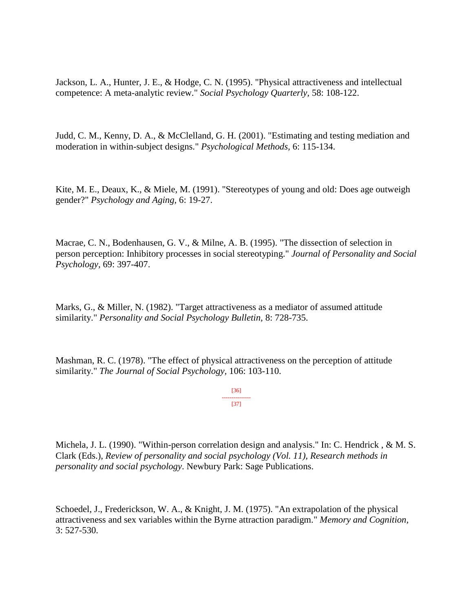Jackson, L. A., Hunter, J. E., & Hodge, C. N. (1995). "Physical attractiveness and intellectual competence: A meta-analytic review." *Social Psychology Quarterly,* 58: 108-122.

Judd, C. M., Kenny, D. A., & McClelland, G. H. (2001). "Estimating and testing mediation and moderation in within-subject designs." *Psychological Methods,* 6: 115-134.

Kite, M. E., Deaux, K., & Miele, M. (1991). "Stereotypes of young and old: Does age outweigh gender?" *Psychology and Aging,* 6: 19-27.

Macrae, C. N., Bodenhausen, G. V., & Milne, A. B. (1995). "The dissection of selection in person perception: Inhibitory processes in social stereotyping." *Journal of Personality and Social Psychology,* 69: 397-407.

Marks, G., & Miller, N. (1982). "Target attractiveness as a mediator of assumed attitude similarity." *Personality and Social Psychology Bulletin,* 8: 728-735.

Mashman, R. C. (1978). "The effect of physical attractiveness on the perception of attitude similarity." *The Journal of Social Psychology,* 106: 103-110.

> [36] --------------- [37]

Michela, J. L. (1990). "Within-person correlation design and analysis." In: C. Hendrick , & M. S. Clark (Eds.), *Review of personality and social psychology (Vol. 11), Research methods in personality and social psychology*. Newbury Park: Sage Publications.

Schoedel, J., Frederickson, W. A., & Knight, J. M. (1975). "An extrapolation of the physical attractiveness and sex variables within the Byrne attraction paradigm." *Memory and Cognition,*  3: 527-530.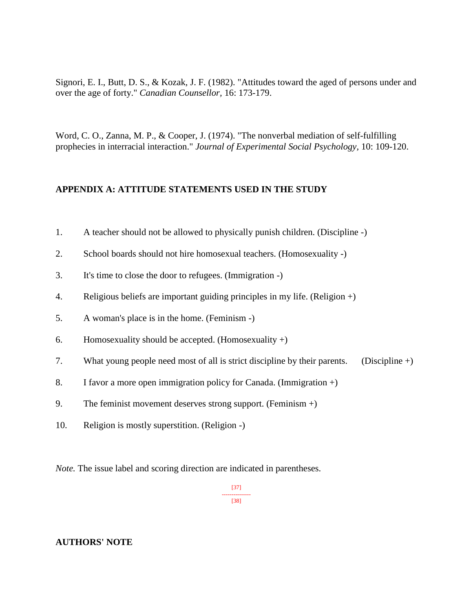Signori, E. I., Butt, D. S., & Kozak, J. F. (1982). "Attitudes toward the aged of persons under and over the age of forty." *Canadian Counsellor,* 16: 173-179.

Word, C. O., Zanna, M. P., & Cooper, J. (1974). "The nonverbal mediation of self-fulfilling prophecies in interracial interaction." *Journal of Experimental Social Psychology,* 10: 109-120.

#### **APPENDIX A: ATTITUDE STATEMENTS USED IN THE STUDY**

- 1. A teacher should not be allowed to physically punish children. (Discipline -)
- 2. School boards should not hire homosexual teachers. (Homosexuality -)
- 3. It's time to close the door to refugees. (Immigration -)
- 4. Religious beliefs are important guiding principles in my life. (Religion +)
- 5. A woman's place is in the home. (Feminism -)
- 6. Homosexuality should be accepted. (Homosexuality  $+)$
- 7. What young people need most of all is strict discipline by their parents. (Discipline +)
- 8. I favor a more open immigration policy for Canada. (Immigration +)
- 9. The feminist movement deserves strong support. (Feminism  $+$ )
- 10. Religion is mostly superstition. (Religion -)

*Note.* The issue label and scoring direction are indicated in parentheses.

[37] --------------- [38]

#### **AUTHORS' NOTE**